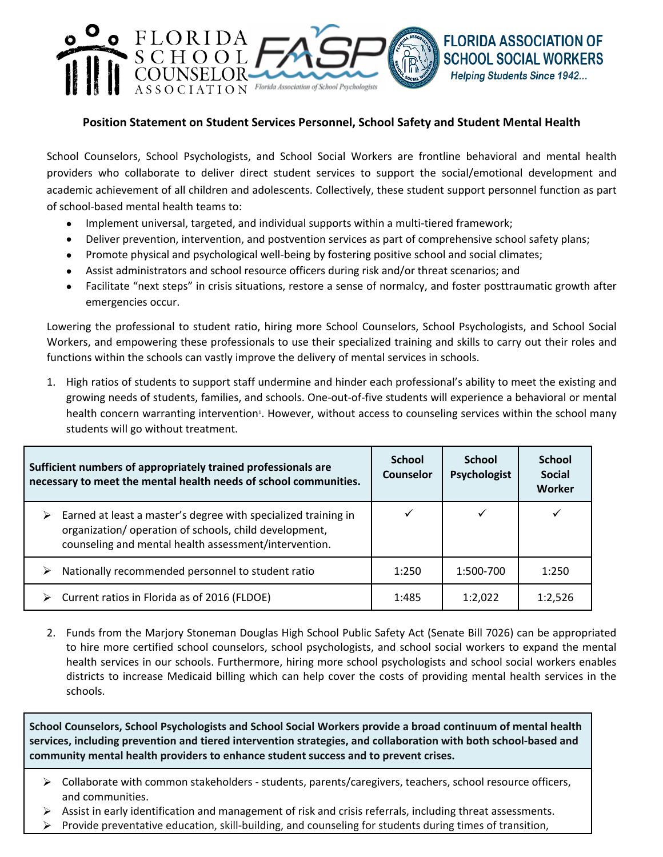## **Position Statement on Student Services Personnel, School Safety and Student Mental Health**

**FLORIDA ASSOCIATION OF** 

**SCHOOL SOCIAL WORKERS Helping Students Since 1942...** 

School Counselors, School Psychologists, and School Social Workers are frontline behavioral and mental health providers who collaborate to deliver direct student services to support the social/emotional development and academic achievement of all children and adolescents. Collectively, these student support personnel function as part of school-based mental health teams to:

• Implement universal, targeted, and individual supports within a multi-tiered framework;

 $HATION$  Florida Association of School Psychologists

FLORIDA

SCHOOL

- Deliver prevention, intervention, and postvention services as part of comprehensive school safety plans;
- Promote physical and psychological well-being by fostering positive school and social climates;
- Assist administrators and school resource officers during risk and/or threat scenarios; and
- Facilitate "next steps" in crisis situations, restore a sense of normalcy, and foster posttraumatic growth after emergencies occur.

Lowering the professional to student ratio, hiring more School Counselors, School Psychologists, and School Social Workers, and empowering these professionals to use their specialized training and skills to carry out their roles and functions within the schools can vastly improve the delivery of mental services in schools.

1. High ratios of students to support staff undermine and hinder each professional's ability to meet the existing and growing needs of students, families, and schools. One-out-of-five students will experience a behavioral or mental health concern warranting intervention<sup>1</sup>. However, without access to counseling services within the school many students will go without treatment.

| Sufficient numbers of appropriately trained professionals are<br>necessary to meet the mental health needs of school communities. |                                                                                                                                                                                  | School<br><b>Counselor</b> | <b>School</b><br>Psychologist | <b>School</b><br><b>Social</b><br>Worker |
|-----------------------------------------------------------------------------------------------------------------------------------|----------------------------------------------------------------------------------------------------------------------------------------------------------------------------------|----------------------------|-------------------------------|------------------------------------------|
| ➤                                                                                                                                 | Earned at least a master's degree with specialized training in<br>organization/operation of schools, child development,<br>counseling and mental health assessment/intervention. |                            |                               |                                          |
|                                                                                                                                   | Nationally recommended personnel to student ratio                                                                                                                                | 1:250                      | 1:500-700                     | 1:250                                    |
|                                                                                                                                   | Current ratios in Florida as of 2016 (FLDOE)                                                                                                                                     | 1:485                      | 1:2,022                       | 1:2,526                                  |

2. Funds from the Marjory Stoneman Douglas High School Public Safety Act (Senate Bill 7026) can be appropriated to hire more certified school counselors, school psychologists, and school social workers to expand the mental health services in our schools. Furthermore, hiring more school psychologists and school social workers enables districts to increase Medicaid billing which can help cover the costs of providing mental health services in the schools.

**School Counselors, School Psychologists and School Social Workers provide a broad continuum of mental health services, including prevention and tiered intervention strategies, and collaboration with both school-based and community mental health providers to enhance student success and to prevent crises.**

- $\triangleright$  Collaborate with common stakeholders students, parents/caregivers, teachers, school resource officers, and communities.
- $\triangleright$  Assist in early identification and management of risk and crisis referrals, including threat assessments.
- $\triangleright$  Provide preventative education, skill-building, and counseling for students during times of transition,